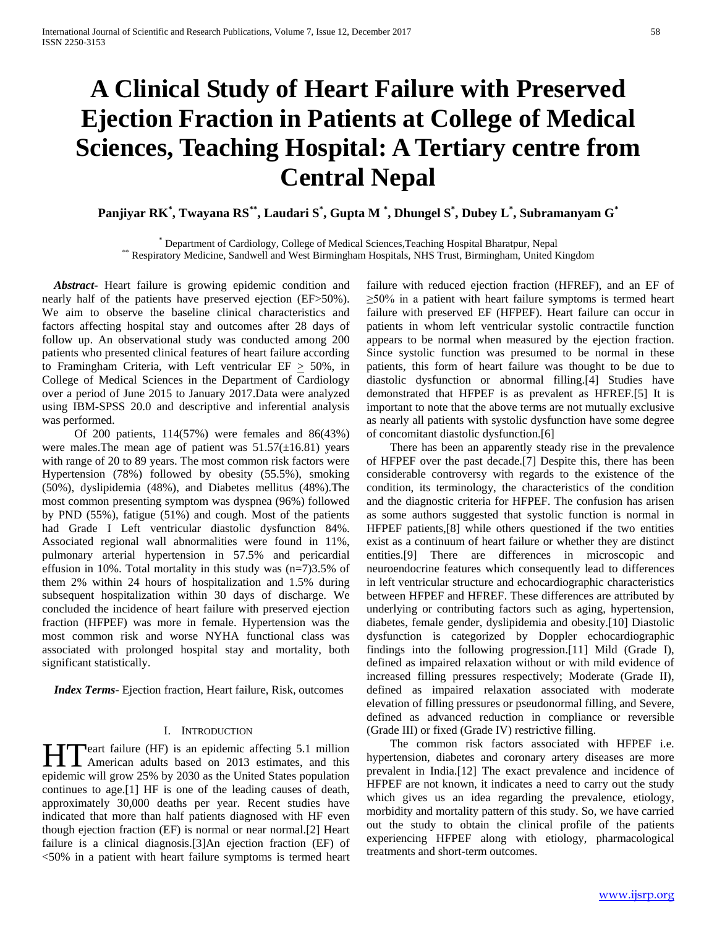# **A Clinical Study of Heart Failure with Preserved Ejection Fraction in Patients at College of Medical Sciences, Teaching Hospital: A Tertiary centre from Central Nepal**

**Panjiyar RK\* , Twayana RS\*\*, Laudari S\* , Gupta M \* , Dhungel S\* , Dubey L\* , Subramanyam G\***

\* Department of Cardiology, College of Medical Sciences,Teaching Hospital Bharatpur, Nepal \*\* Respiratory Medicine, Sandwell and West Birmingham Hospitals, NHS Trust, Birmingham, United Kingdom

 *Abstract***-** Heart failure is growing epidemic condition and nearly half of the patients have preserved ejection (EF>50%). We aim to observe the baseline clinical characteristics and factors affecting hospital stay and outcomes after 28 days of follow up. An observational study was conducted among 200 patients who presented clinical features of heart failure according to Framingham Criteria, with Left ventricular  $EF \geq 50\%$ , in College of Medical Sciences in the Department of Cardiology over a period of June 2015 to January 2017.Data were analyzed using IBM-SPSS 20.0 and descriptive and inferential analysis was performed.

 Of 200 patients, 114(57%) were females and 86(43%) were males. The mean age of patient was  $51.57(\pm 16.81)$  years with range of 20 to 89 years. The most common risk factors were Hypertension (78%) followed by obesity (55.5%), smoking (50%), dyslipidemia (48%), and Diabetes mellitus (48%).The most common presenting symptom was dyspnea (96%) followed by PND (55%), fatigue (51%) and cough. Most of the patients had Grade I Left ventricular diastolic dysfunction 84%. Associated regional wall abnormalities were found in 11%, pulmonary arterial hypertension in 57.5% and pericardial effusion in 10%. Total mortality in this study was (n=7)3.5% of them 2% within 24 hours of hospitalization and 1.5% during subsequent hospitalization within 30 days of discharge. We concluded the incidence of heart failure with preserved ejection fraction (HFPEF) was more in female. Hypertension was the most common risk and worse NYHA functional class was associated with prolonged hospital stay and mortality, both significant statistically.

 *Index Terms*- Ejection fraction, Heart failure, Risk, outcomes

## I. INTRODUCTION

eart failure (HF) is an epidemic affecting 5.1 million **American adults based on 2013 estimates, and this american adults based on 2013 estimates, and this implementation** epidemic will grow 25% by 2030 as the United States population continues to age.[1] HF is one of the leading causes of death, approximately 30,000 deaths per year. Recent studies have indicated that more than half patients diagnosed with HF even though ejection fraction (EF) is normal or near normal.[2] Heart failure is a clinical diagnosis.[3]An ejection fraction (EF) of <50% in a patient with heart failure symptoms is termed heart

failure with reduced ejection fraction (HFREF), and an EF of  $\geq$ 50% in a patient with heart failure symptoms is termed heart failure with preserved EF (HFPEF). Heart failure can occur in patients in whom left ventricular systolic contractile function appears to be normal when measured by the ejection fraction. Since systolic function was presumed to be normal in these patients, this form of heart failure was thought to be due to diastolic dysfunction or abnormal filling.[4] Studies have demonstrated that HFPEF is as prevalent as HFREF.[5] It is important to note that the above terms are not mutually exclusive as nearly all patients with systolic dysfunction have some degree of concomitant diastolic dysfunction.[6]

 There has been an apparently steady rise in the prevalence of HFPEF over the past decade.[7] Despite this, there has been considerable controversy with regards to the existence of the condition, its terminology, the characteristics of the condition and the diagnostic criteria for HFPEF. The confusion has arisen as some authors suggested that systolic function is normal in HFPEF patients,[8] while others questioned if the two entities exist as a continuum of heart failure or whether they are distinct entities.[9] There are differences in microscopic and neuroendocrine features which consequently lead to differences in left ventricular structure and echocardiographic characteristics between HFPEF and HFREF. These differences are attributed by underlying or contributing factors such as aging, hypertension, diabetes, female gender, dyslipidemia and obesity.[10] Diastolic dysfunction is categorized by Doppler echocardiographic findings into the following progression.[11] Mild (Grade I), defined as impaired relaxation without or with mild evidence of increased filling pressures respectively; Moderate (Grade II), defined as impaired relaxation associated with moderate elevation of filling pressures or pseudonormal filling, and Severe, defined as advanced reduction in compliance or reversible (Grade III) or fixed (Grade IV) restrictive filling.

 The common risk factors associated with HFPEF i.e. hypertension, diabetes and coronary artery diseases are more prevalent in India.[12] The exact prevalence and incidence of HFPEF are not known, it indicates a need to carry out the study which gives us an idea regarding the prevalence, etiology, morbidity and mortality pattern of this study. So, we have carried out the study to obtain the clinical profile of the patients experiencing HFPEF along with etiology, pharmacological treatments and short-term outcomes.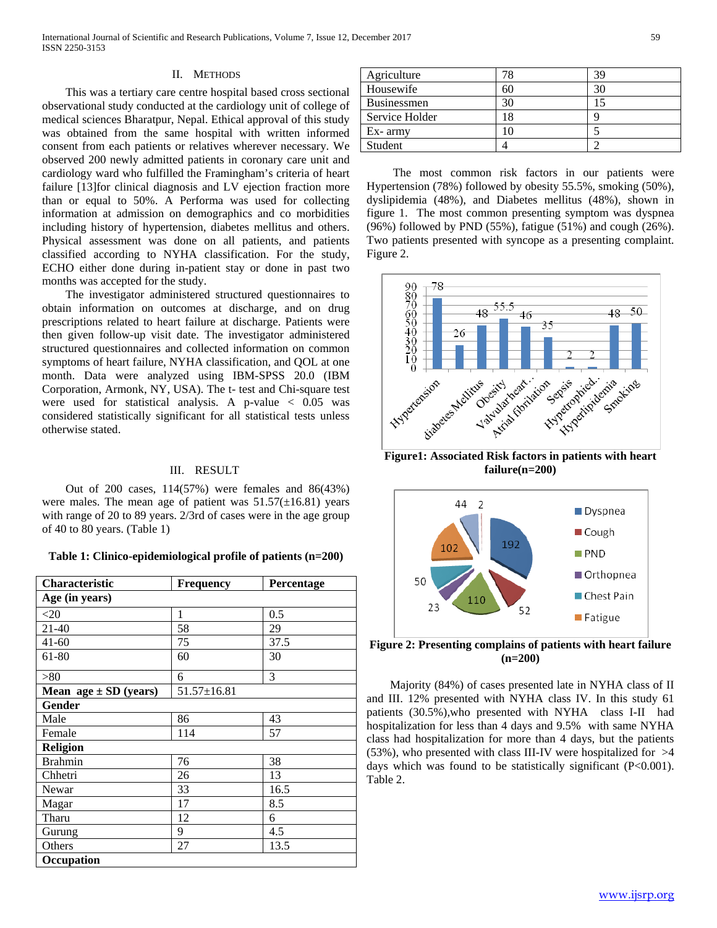## II. METHODS

 This was a tertiary care centre hospital based cross sectional observational study conducted at the cardiology unit of college of medical sciences Bharatpur, Nepal. Ethical approval of this study was obtained from the same hospital with written informed consent from each patients or relatives wherever necessary. We observed 200 newly admitted patients in coronary care unit and cardiology ward who fulfilled the Framingham's criteria of heart failure [13]for clinical diagnosis and LV ejection fraction more than or equal to 50%. A Performa was used for collecting information at admission on demographics and co morbidities including history of hypertension, diabetes mellitus and others. Physical assessment was done on all patients, and patients classified according to NYHA classification. For the study, ECHO either done during in-patient stay or done in past two months was accepted for the study.

 The investigator administered structured questionnaires to obtain information on outcomes at discharge, and on drug prescriptions related to heart failure at discharge. Patients were then given follow-up visit date. The investigator administered structured questionnaires and collected information on common symptoms of heart failure, NYHA classification, and QOL at one month. Data were analyzed using IBM-SPSS 20.0 (IBM Corporation, Armonk, NY, USA). The t- test and Chi-square test were used for statistical analysis. A p-value  $\langle 0.05 \rangle$  was considered statistically significant for all statistical tests unless otherwise stated.

## III. RESULT

 Out of 200 cases, 114(57%) were females and 86(43%) were males. The mean age of patient was  $51.57(\pm 16.81)$  years with range of 20 to 89 years. 2/3rd of cases were in the age group of 40 to 80 years. (Table 1)

## **Table 1: Clinico-epidemiological profile of patients (n=200)**

| Characteristic            | <b>Frequency</b>  | Percentage |  |  |  |
|---------------------------|-------------------|------------|--|--|--|
| Age (in years)            |                   |            |  |  |  |
| $<$ 20                    | 1                 | 0.5        |  |  |  |
| $21 - 40$                 | 58                | 29         |  |  |  |
| $41 - 60$                 | 75                | 37.5       |  |  |  |
| 61-80                     | 60                | 30         |  |  |  |
| > 80                      | 6                 | 3          |  |  |  |
| Mean $age \pm SD$ (years) | $51.57 \pm 16.81$ |            |  |  |  |
| Gender                    |                   |            |  |  |  |
| Male                      | 86                | 43         |  |  |  |
| Female                    | 114               | 57         |  |  |  |
| Religion                  |                   |            |  |  |  |
| <b>Brahmin</b>            | 76                | 38         |  |  |  |
| Chhetri                   | 26                | 13         |  |  |  |
| Newar                     | 33                | 16.5       |  |  |  |
| Magar                     | 17                | 8.5        |  |  |  |
| Tharu                     | 12                | 6          |  |  |  |
| Gurung                    | 9                 | 4.5        |  |  |  |
| Others                    | 27                | 13.5       |  |  |  |
| Occupation                |                   |            |  |  |  |

| Agriculture    |    | 39 |
|----------------|----|----|
| Housewife      | 60 |    |
| Businessmen    | 30 |    |
| Service Holder | 8. |    |
| $Ex-$ army     |    |    |
| Student        |    |    |

 The most common risk factors in our patients were Hypertension (78%) followed by obesity 55.5%, smoking (50%), dyslipidemia (48%), and Diabetes mellitus (48%), shown in figure 1. The most common presenting symptom was dyspnea (96%) followed by PND (55%), fatigue (51%) and cough (26%). Two patients presented with syncope as a presenting complaint. Figure 2.



**Figure1: Associated Risk factors in patients with heart failure(n=200)**



**Figure 2: Presenting complains of patients with heart failure (n=200)**

 Majority (84%) of cases presented late in NYHA class of II and III. 12% presented with NYHA class IV. In this study 61 patients (30.5%),who presented with NYHA class I-II had hospitalization for less than 4 days and 9.5% with same NYHA class had hospitalization for more than 4 days, but the patients (53%), who presented with class III-IV were hospitalized for >4 days which was found to be statistically significant (P<0.001). Table 2.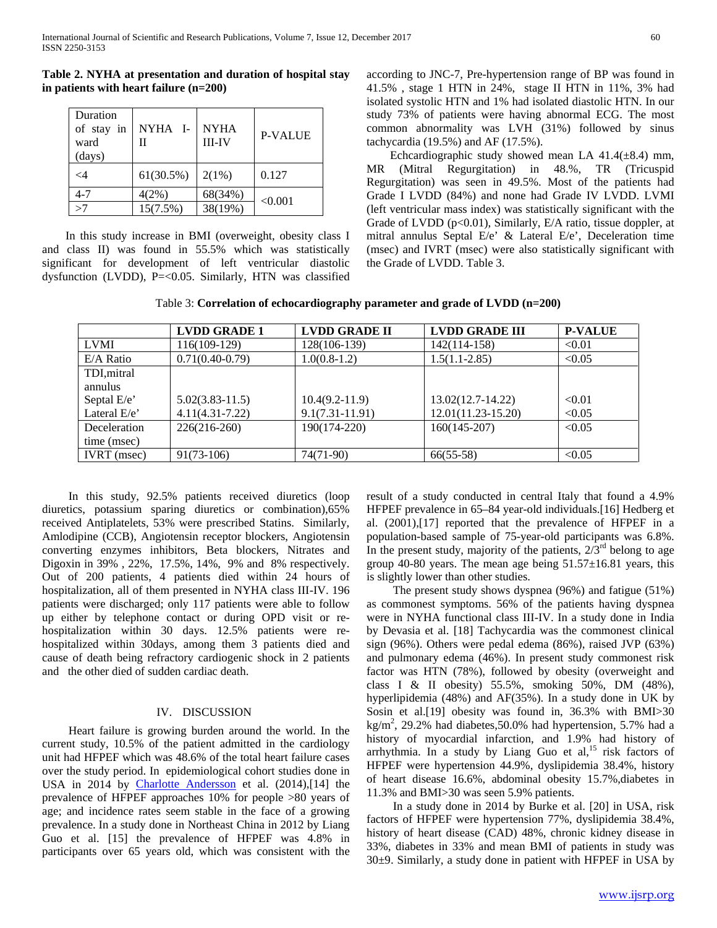**Table 2. NYHA at presentation and duration of hospital stay in patients with heart failure (n=200)**

| Duration<br>of stay in<br>ward<br>(days) | NYHA I-   | <b>NYHA</b><br><b>III-IV</b> | <b>P-VALUE</b> |
|------------------------------------------|-----------|------------------------------|----------------|
| $\leq$ 4                                 | 61(30.5%) | 2(1%)                        | 0.127          |
| $4 - 7$                                  | 4(2%)     | 68(34%)                      |                |
| >7                                       | 15(7.5%)  | 38(19%)                      | < 0.001        |

 In this study increase in BMI (overweight, obesity class I and class II) was found in 55.5% which was statistically significant for development of left ventricular diastolic dysfunction (LVDD), P=<0.05. Similarly, HTN was classified according to JNC-7, Pre-hypertension range of BP was found in 41.5% , stage 1 HTN in 24%, stage II HTN in 11%, 3% had isolated systolic HTN and 1% had isolated diastolic HTN. In our study 73% of patients were having abnormal ECG. The most common abnormality was LVH (31%) followed by sinus tachycardia (19.5%) and AF (17.5%).

Echcardiographic study showed mean LA  $41.4(\pm 8.4)$  mm, MR (Mitral Regurgitation) in 48.%, TR (Tricuspid Regurgitation) was seen in 49.5%. Most of the patients had Grade I LVDD (84%) and none had Grade IV LVDD. LVMI (left ventricular mass index) was statistically significant with the Grade of LVDD (p<0.01), Similarly, E/A ratio, tissue doppler, at mitral annulus Septal E/e' & Lateral E/e', Deceleration time (msec) and IVRT (msec) were also statistically significant with the Grade of LVDD. Table 3.

Table 3: **Correlation of echocardiography parameter and grade of LVDD (n=200)**

|                    | <b>LVDD GRADE 1</b> | <b>LVDD GRADE II</b> | <b>LVDD GRADE III</b> | <b>P-VALUE</b> |
|--------------------|---------------------|----------------------|-----------------------|----------------|
| <b>LVMI</b>        | 116(109-129)        | 128(106-139)         | 142(114-158)          | < 0.01         |
| $E/A$ Ratio        | $0.71(0.40-0.79)$   | $1.0(0.8-1.2)$       | $1.5(1.1 - 2.85)$     | < 0.05         |
| TDI, mitral        |                     |                      |                       |                |
| annulus            |                     |                      |                       |                |
| Septal E/e'        | $5.02(3.83 - 11.5)$ | $10.4(9.2 - 11.9)$   | $13.02(12.7 - 14.22)$ | < 0.01         |
| Lateral $E/e$      | $4.11(4.31 - 7.22)$ | $9.1(7.31 - 11.91)$  | $12.01(11.23-15.20)$  | < 0.05         |
| Deceleration       | $226(216-260)$      | 190(174-220)         | $160(145-207)$        | < 0.05         |
| time (msec)        |                     |                      |                       |                |
| <b>IVRT</b> (msec) | $91(73-106)$        | 74(71-90)            | $66(55-58)$           | < 0.05         |

 In this study, 92.5% patients received diuretics (loop diuretics, potassium sparing diuretics or combination),65% received Antiplatelets, 53% were prescribed Statins. Similarly, Amlodipine (CCB), Angiotensin receptor blockers, Angiotensin converting enzymes inhibitors, Beta blockers, Nitrates and Digoxin in 39% , 22%, 17.5%, 14%, 9% and 8% respectively. Out of 200 patients, 4 patients died within 24 hours of hospitalization, all of them presented in NYHA class III-IV. 196 patients were discharged; only 117 patients were able to follow up either by telephone contact or during OPD visit or rehospitalization within 30 days. 12.5% patients were rehospitalized within 30days, among them 3 patients died and cause of death being refractory cardiogenic shock in 2 patients and the other died of sudden cardiac death.

## IV. DISCUSSION

 Heart failure is growing burden around the world. In the current study, 10.5% of the patient admitted in the cardiology unit had HFPEF which was 48.6% of the total heart failure cases over the study period. In epidemiological cohort studies done in USA in 2014 by [Charlotte Andersson](https://www.ncbi.nlm.nih.gov/pubmed/?term=Andersson%20C%5BAuthor%5D&cauthor=true&cauthor_uid=24975902) et al. (2014),[14] the prevalence of HFPEF approaches 10% for people >80 years of age; and incidence rates seem stable in the face of a growing prevalence. In a study done in Northeast China in 2012 by Liang Guo et al. [15] the prevalence of HFPEF was 4.8% in participants over 65 years old, which was consistent with the result of a study conducted in central Italy that found a 4.9% HFPEF prevalence in 65–84 year-old individuals.[16] Hedberg et al. (2001),[17] reported that the prevalence of HFPEF in a population-based sample of 75-year-old participants was 6.8%. In the present study, majority of the patients,  $2/\overline{3}^{rd}$  belong to age group 40-80 years. The mean age being  $51.57\pm16.81$  years, this is slightly lower than other studies.

 The present study shows dyspnea (96%) and fatigue (51%) as commonest symptoms. 56% of the patients having dyspnea were in NYHA functional class III-IV. In a study done in India by Devasia et al. [18] Tachycardia was the commonest clinical sign (96%). Others were pedal edema (86%), raised JVP (63%) and pulmonary edema (46%). In present study commonest risk factor was HTN (78%), followed by obesity (overweight and class I & II obesity) 55.5%, smoking 50%, DM (48%), hyperlipidemia (48%) and AF(35%). In a study done in UK by Sosin et al.[19] obesity was found in, 36.3% with BMI>30  $\text{kg/m}^2$ , 29.2% had diabetes, 50.0% had hypertension, 5.7% had a history of myocardial infarction, and 1.9% had history of arrhythmia. In a study by Liang Guo et al, $15$  risk factors of HFPEF were hypertension 44.9%, dyslipidemia 38.4%, history of heart disease 16.6%, abdominal obesity 15.7%,diabetes in 11.3% and BMI>30 was seen 5.9% patients.

 In a study done in 2014 by Burke et al. [20] in USA, risk factors of HFPEF were hypertension 77%, dyslipidemia 38.4%, history of heart disease (CAD) 48%, chronic kidney disease in 33%, diabetes in 33% and mean BMI of patients in study was 30±9. Similarly, a study done in patient with HFPEF in USA by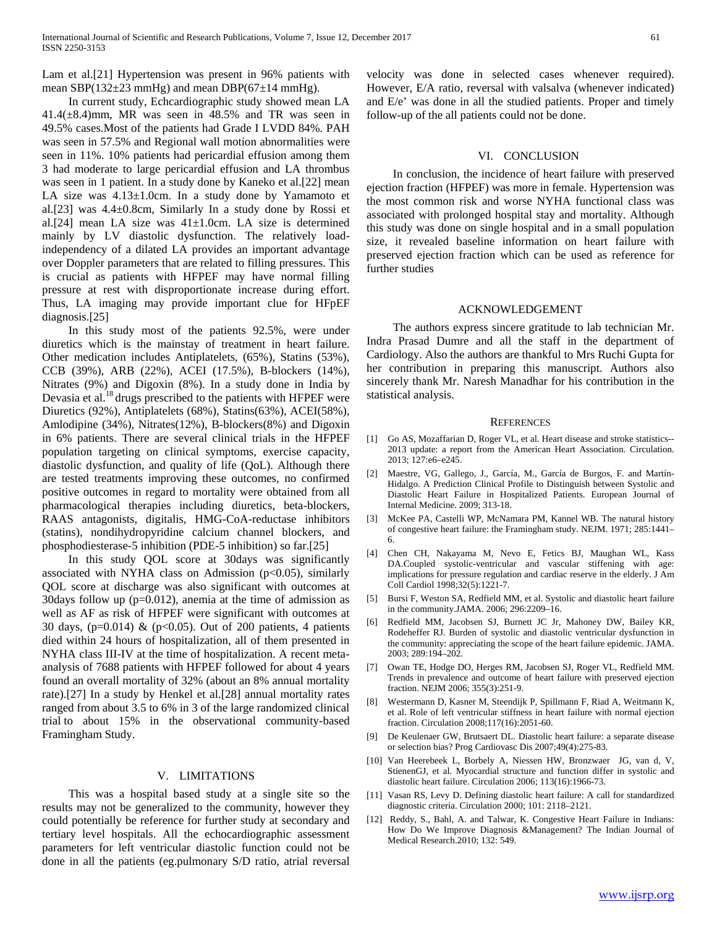Lam et al.[21] Hypertension was present in 96% patients with mean SBP(132 $\pm$ 23 mmHg) and mean DBP(67 $\pm$ 14 mmHg).

 In current study, Echcardiographic study showed mean LA  $41.4(\pm 8.4)$ mm, MR was seen in  $48.5\%$  and TR was seen in 49.5% cases.Most of the patients had Grade I LVDD 84%. PAH was seen in 57.5% and Regional wall motion abnormalities were seen in 11%. 10% patients had pericardial effusion among them 3 had moderate to large pericardial effusion and LA thrombus was seen in 1 patient. In a study done by Kaneko et al.[22] mean LA size was  $4.13 \pm 1.0$ cm. In a study done by Yamamoto et al.[23] was 4.4±0.8cm, Similarly In a study done by Rossi et al.[24] mean LA size was 41±1.0cm. LA size is determined mainly by LV diastolic dysfunction. The relatively loadindependency of a dilated LA provides an important advantage over Doppler parameters that are related to filling pressures. This is crucial as patients with HFPEF may have normal filling pressure at rest with disproportionate increase during effort. Thus, LA imaging may provide important clue for HFpEF diagnosis.[25]

 In this study most of the patients 92.5%, were under diuretics which is the mainstay of treatment in heart failure. Other medication includes Antiplatelets, (65%), Statins (53%), CCB (39%), ARB (22%), ACEI (17.5%), B-blockers (14%), Nitrates (9%) and Digoxin (8%). In a study done in India by Devasia et al.<sup>18</sup> drugs prescribed to the patients with HFPEF were Diuretics (92%), Antiplatelets (68%), Statins(63%), ACEI(58%), Amlodipine (34%), Nitrates(12%), B-blockers(8%) and Digoxin in 6% patients. There are several clinical trials in the HFPEF population targeting on clinical symptoms, exercise capacity, diastolic dysfunction, and quality of life (QoL). Although there are tested treatments improving these outcomes, no confirmed positive outcomes in regard to mortality were obtained from all pharmacological therapies including diuretics, beta-blockers, RAAS antagonists, digitalis, HMG-CoA-reductase inhibitors (statins), nondihydropyridine calcium channel blockers, and phosphodiesterase-5 inhibition (PDE-5 inhibition) so far.[25]

 In this study QOL score at 30days was significantly associated with NYHA class on Admission ( $p<0.05$ ), similarly QOL score at discharge was also significant with outcomes at 30days follow up (p=0.012), anemia at the time of admission as well as AF as risk of HFPEF were significant with outcomes at 30 days, ( $p=0.014$ ) & ( $p<0.05$ ). Out of 200 patients, 4 patients died within 24 hours of hospitalization, all of them presented in NYHA class III-IV at the time of hospitalization. A recent metaanalysis of 7688 patients with HFPEF followed for about 4 years found an overall mortality of 32% (about an 8% annual mortality rate).[27] In a study by Henkel et al.[28] annual mortality rates ranged from about 3.5 to 6% in 3 of the large randomized clinical trial to about 15% in the observational community-based Framingham Study.

### V. LIMITATIONS

 This was a hospital based study at a single site so the results may not be generalized to the community, however they could potentially be reference for further study at secondary and tertiary level hospitals. All the echocardiographic assessment parameters for left ventricular diastolic function could not be done in all the patients (eg.pulmonary S/D ratio, atrial reversal velocity was done in selected cases whenever required). However, E/A ratio, reversal with valsalva (whenever indicated) and E/e' was done in all the studied patients. Proper and timely follow-up of the all patients could not be done.

### VI. CONCLUSION

 In conclusion, the incidence of heart failure with preserved ejection fraction (HFPEF) was more in female. Hypertension was the most common risk and worse NYHA functional class was associated with prolonged hospital stay and mortality. Although this study was done on single hospital and in a small population size, it revealed baseline information on heart failure with preserved ejection fraction which can be used as reference for further studies

#### ACKNOWLEDGEMENT

 The authors express sincere gratitude to lab technician Mr. Indra Prasad Dumre and all the staff in the department of Cardiology. Also the authors are thankful to Mrs Ruchi Gupta for her contribution in preparing this manuscript. Authors also sincerely thank Mr. Naresh Manadhar for his contribution in the statistical analysis.

#### **REFERENCES**

- [1] Go AS, Mozaffarian D, Roger VL, et al. Heart disease and stroke statistics-- 2013 update: a report from the American Heart Association. Circulation. 2013; 127:e6–e245.
- [2] Maestre, VG, Gallego, J., García, M., García de Burgos, F. and Martín-Hidalgo. A Prediction Clinical Profile to Distinguish between Systolic and Diastolic Heart Failure in Hospitalized Patients. European Journal of Internal Medicine. 2009; 313-18.
- [3] McKee PA, Castelli WP, McNamara PM, Kannel WB. The natural history of congestive heart failure: the Framingham study. NEJM. 1971; 285:1441– 6.
- [4] Chen CH, Nakayama M, Nevo E, Fetics BJ, Maughan WL, Kass DA.Coupled systolic-ventricular and vascular stiffening with age: implications for pressure regulation and cardiac reserve in the elderly. J Am Coll Cardiol 1998;32(5):1221-7.
- [5] Bursi F, Weston SA, Redfield MM, et al. Systolic and diastolic heart failure in the community.JAMA. 2006; 296:2209–16.
- [6] Redfield MM, Jacobsen SJ, Burnett JC Jr, Mahoney DW, Bailey KR, Rodeheffer RJ. Burden of systolic and diastolic ventricular dysfunction in the community: appreciating the scope of the heart failure epidemic. JAMA. 2003; 289:194–202.
- [7] Owan TE, Hodge DO, Herges RM, Jacobsen SJ, Roger VL, Redfield MM. Trends in prevalence and outcome of heart failure with preserved ejection fraction. NEJM 2006; 355(3):251-9.
- [8] Westermann D, Kasner M, Steendijk P, Spillmann F, Riad A, Weitmann K, et al. Role of left ventricular stiffness in heart failure with normal ejection fraction. Circulation 2008;117(16):2051-60.
- [9] De Keulenaer GW, Brutsaert DL. Diastolic heart failure: a separate disease or selection bias? Prog Cardiovasc Dis 2007;49(4):275-83.
- [10] Van Heerebeek L, Borbely A, Niessen HW, Bronzwaer JG, van d, V, StienenGJ, et al. Myocardial structure and function differ in systolic and diastolic heart failure. Circulation 2006; 113(16):1966-73.
- [11] Vasan RS, Levy D. Defining diastolic heart failure: A call for standardized diagnostic criteria. Circulation 2000; 101: 2118–2121.
- [12] Reddy, S., Bahl, A. and Talwar, K. Congestive Heart Failure in Indians: How Do We Improve Diagnosis &Management? The Indian Journal of Medical Research.2010; 132: 549.